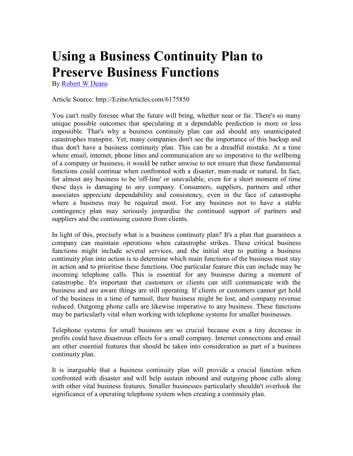## **Using a Business Continuity Plan to Preserve Business Functions**

By [Robert W Deans](http://ezinearticles.com/?expert=Robert_W_Deans)

## Article Source: http://EzineArticles.com/6175850

You can't really foresee what the future will bring, whether near or far. There's so many unique possible outcomes that speculating at a dependable prediction is more or less impossible. That's why a business continuity plan can aid should any unanticipated catastrophes transpire. Yet, many companies don't see the importance of this backup and thus don't have a business continuity plan. This can be a dreadful mistake. At a time where email, internet, phone lines and communication are so imperative to the wellbeing of a company or business, it would be rather unwise to not ensure that these fundamental functions could continue when confronted with a disaster, man-made or natural. In fact, for almost any business to be 'off-line' or unavailable, even for a short moment of time these days is damaging to any company. Consumers, suppliers, partners and other associates appreciate dependability and consistency, even in the face of catastrophe where a business may be required most. For any business not to have a stable contingency plan may seriously jeopardise the continued support of partners and suppliers and the continuing custom from clients.

In light of this, precisely what is a business continuity plan? It's a plan that guarantees a company can maintain operations when catastrophe strikes. These critical business functions might include several services, and the initial step to putting a business continuity plan into action is to determine which main functions of the business must stay in action and to prioritise these functions. One particular feature this can include may be incoming telephone calls. This is essential for any business during a moment of catastrophe. It's important that customers or clients can still communicate with the business and are aware things are still operating. If clients or customers cannot get hold of the business in a time of turmoil, their business might be lost, and company revenue reduced. Outgoing phone calls are likewise imperative to any business. These functions may be particularly vital when working with telephone systems for smaller businesses.

Telephone systems for small business are so crucial because even a tiny decrease in profits could have disastrous effects for a small company. Internet connections and email are other essential features that should be taken into consideration as part of a business continuity plan.

It is inarguable that a business continuity plan will provide a crucial function when confronted with disaster and will help sustain inbound and outgoing phone calls along with other vital business features. Smaller businesses particularly shouldn't overlook the significance of a operating telephone system when creating a continuity plan.